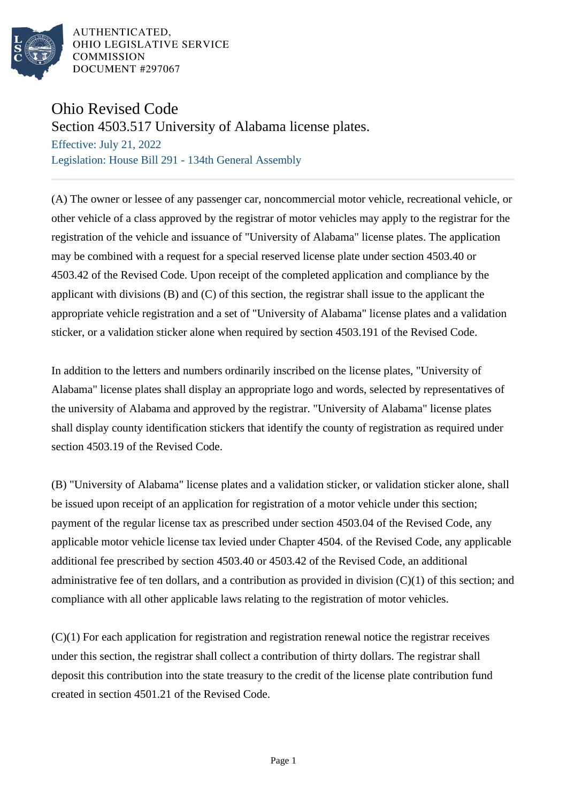

AUTHENTICATED. OHIO LEGISLATIVE SERVICE **COMMISSION** DOCUMENT #297067

## Ohio Revised Code

Section 4503.517 University of Alabama license plates.

Effective: July 21, 2022 Legislation: House Bill 291 - 134th General Assembly

(A) The owner or lessee of any passenger car, noncommercial motor vehicle, recreational vehicle, or other vehicle of a class approved by the registrar of motor vehicles may apply to the registrar for the registration of the vehicle and issuance of "University of Alabama" license plates. The application may be combined with a request for a special reserved license plate under section 4503.40 or 4503.42 of the Revised Code. Upon receipt of the completed application and compliance by the applicant with divisions (B) and (C) of this section, the registrar shall issue to the applicant the appropriate vehicle registration and a set of "University of Alabama" license plates and a validation sticker, or a validation sticker alone when required by section 4503.191 of the Revised Code.

In addition to the letters and numbers ordinarily inscribed on the license plates, "University of Alabama" license plates shall display an appropriate logo and words, selected by representatives of the university of Alabama and approved by the registrar. "University of Alabama" license plates shall display county identification stickers that identify the county of registration as required under section 4503.19 of the Revised Code.

(B) "University of Alabama" license plates and a validation sticker, or validation sticker alone, shall be issued upon receipt of an application for registration of a motor vehicle under this section; payment of the regular license tax as prescribed under section 4503.04 of the Revised Code, any applicable motor vehicle license tax levied under Chapter 4504. of the Revised Code, any applicable additional fee prescribed by section 4503.40 or 4503.42 of the Revised Code, an additional administrative fee of ten dollars, and a contribution as provided in division (C)(1) of this section; and compliance with all other applicable laws relating to the registration of motor vehicles.

(C)(1) For each application for registration and registration renewal notice the registrar receives under this section, the registrar shall collect a contribution of thirty dollars. The registrar shall deposit this contribution into the state treasury to the credit of the license plate contribution fund created in section 4501.21 of the Revised Code.